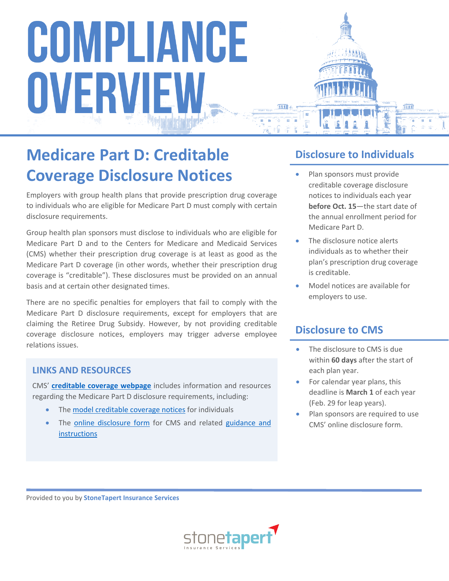### **Medicare Part D: Creditable Coverage Disclosure Notices**

Employers with group health plans that provide prescription drug coverage to individuals who are eligible for Medicare Part D must comply with certain disclosure requirements.

Group health plan sponsors must disclose to individuals who are eligible for Medicare Part D and to the Centers for Medicare and Medicaid Services (CMS) whether their prescription drug coverage is at least as good as the Medicare Part D coverage (in other words, whether their prescription drug coverage is "creditable"). These disclosures must be provided on an annual basis and at certain other designated times.

There are no specific penalties for employers that fail to comply with the Medicare Part D disclosure requirements, except for employers that are claiming the Retiree Drug Subsidy. However, by not providing creditable coverage disclosure notices, employers may trigger adverse employee relations issues.

#### **LINKS AND RESOURCES**

CMS' **[creditable coverage webpage](https://www.cms.gov/Medicare/Prescription-Drug-Coverage/CreditableCoverage/index.html?redirect=/CreditableCoverage/40_CCDisclosure.asp)** includes information and resources regarding the Medicare Part D disclosure requirements, including:

- The [model creditable coverage notices](https://www.cms.gov/Medicare/Prescription-Drug-Coverage/CreditableCoverage/Model-Notice-Letters.html) for individuals
- The [online disclosure form](https://www.cms.gov/Medicare/Prescription-Drug-Coverage/CreditableCoverage/CCDisclosureForm.html) for CMS and related guidance and **[instructions](https://www.cms.gov/Medicare/Prescription-Drug-Coverage/CreditableCoverage/CCDisclosure.html)**

#### **Disclosure to Individuals**

- Plan sponsors must provide creditable coverage disclosure notices to individuals each year **before Oct. 15**—the start date of the annual enrollment period for Medicare Part D.
- The disclosure notice alerts individuals as to whether their plan's prescription drug coverage is creditable.
- Model notices are available for employers to use.

#### **Disclosure to CMS**

- The disclosure to CMS is due within **60 days** after the start of each plan year.
- For calendar year plans, this deadline is **March 1** of each year (Feb. 29 for leap years).
- Plan sponsors are required to use CMS' online disclosure form.

Provided to you by **StoneTapert Insurance Services**

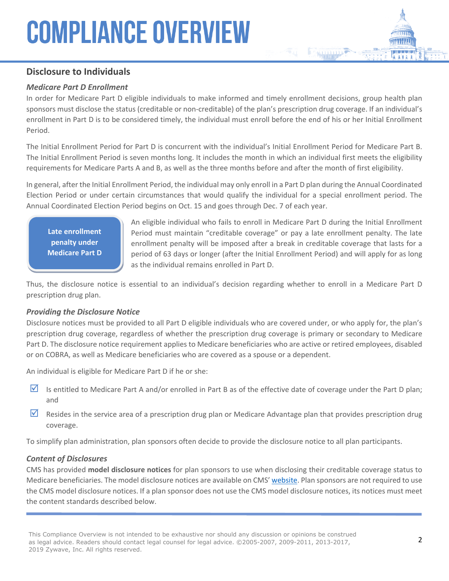#### **Disclosure to Individuals**

#### *Medicare Part D Enrollment*

In order for Medicare Part D eligible individuals to make informed and timely enrollment decisions, group health plan sponsors must disclose the status (creditable or non-creditable) of the plan's prescription drug coverage. If an individual's enrollment in Part D is to be considered timely, the individual must enroll before the end of his or her Initial Enrollment Period.

The Initial Enrollment Period for Part D is concurrent with the individual's Initial Enrollment Period for Medicare Part B. The Initial Enrollment Period is seven months long. It includes the month in which an individual first meets the eligibility requirements for Medicare Parts A and B, as well as the three months before and after the month of first eligibility.

In general, after the Initial Enrollment Period, the individual may only enroll in a Part D plan during the Annual Coordinated Election Period or under certain circumstances that would qualify the individual for a special enrollment period. The Annual Coordinated Election Period begins on Oct. 15 and goes through Dec. 7 of each year.

**Late enrollment penalty under Medicare Part D**

An eligible individual who fails to enroll in Medicare Part D during the Initial Enrollment Period must maintain "creditable coverage" or pay a late enrollment penalty. The late enrollment penalty will be imposed after a break in creditable coverage that lasts for a period of 63 days or longer (after the Initial Enrollment Period) and will apply for as long as the individual remains enrolled in Part D.

Thus, the disclosure notice is essential to an individual's decision regarding whether to enroll in a Medicare Part D prescription drug plan.

#### *Providing the Disclosure Notice*

Disclosure notices must be provided to all Part D eligible individuals who are covered under, or who apply for, the plan's prescription drug coverage, regardless of whether the prescription drug coverage is primary or secondary to Medicare Part D. The disclosure notice requirement applies to Medicare beneficiaries who are active or retired employees, disabled or on COBRA, as well as Medicare beneficiaries who are covered as a spouse or a dependent.

An individual is eligible for Medicare Part D if he or she:

- Is entitled to Medicare Part A and/or enrolled in Part B as of the effective date of coverage under the Part D plan; and
- Resides in the service area of a prescription drug plan or Medicare Advantage plan that provides prescription drug coverage.

To simplify plan administration, plan sponsors often decide to provide the disclosure notice to all plan participants.

#### *Content of Disclosures*

CMS has provided **model disclosure notices** for plan sponsors to use when disclosing their creditable coverage status to Medicare beneficiaries. The model disclosure notices are available on CMS' [website.](http://www.cms.gov/Medicare/Prescription-Drug-Coverage/CreditableCoverage/Model-Notice-Letters.html) Plan sponsors are not required to use the CMS model disclosure notices. If a plan sponsor does not use the CMS model disclosure notices, its notices must meet the content standards described below.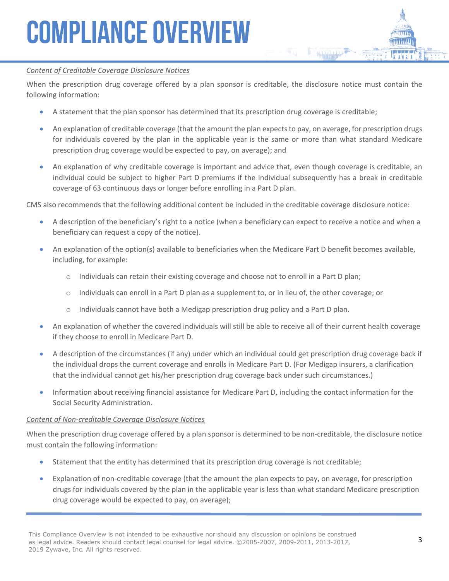#### *Content of Creditable Coverage Disclosure Notices*

When the prescription drug coverage offered by a plan sponsor is creditable, the disclosure notice must contain the following information:

- A statement that the plan sponsor has determined that its prescription drug coverage is creditable;
- An explanation of creditable coverage (that the amount the plan expects to pay, on average, for prescription drugs for individuals covered by the plan in the applicable year is the same or more than what standard Medicare prescription drug coverage would be expected to pay, on average); and
- An explanation of why creditable coverage is important and advice that, even though coverage is creditable, an individual could be subject to higher Part D premiums if the individual subsequently has a break in creditable coverage of 63 continuous days or longer before enrolling in a Part D plan.

CMS also recommends that the following additional content be included in the creditable coverage disclosure notice:

- A description of the beneficiary's right to a notice (when a beneficiary can expect to receive a notice and when a beneficiary can request a copy of the notice).
- An explanation of the option(s) available to beneficiaries when the Medicare Part D benefit becomes available, including, for example:
	- $\circ$  Individuals can retain their existing coverage and choose not to enroll in a Part D plan;
	- o Individuals can enroll in a Part D plan as a supplement to, or in lieu of, the other coverage; or
	- $\circ$  Individuals cannot have both a Medigap prescription drug policy and a Part D plan.
- An explanation of whether the covered individuals will still be able to receive all of their current health coverage if they choose to enroll in Medicare Part D.
- A description of the circumstances (if any) under which an individual could get prescription drug coverage back if the individual drops the current coverage and enrolls in Medicare Part D. (For Medigap insurers, a clarification that the individual cannot get his/her prescription drug coverage back under such circumstances.)
- Information about receiving financial assistance for Medicare Part D, including the contact information for the Social Security Administration.

#### *Content of Non-creditable Coverage Disclosure Notices*

When the prescription drug coverage offered by a plan sponsor is determined to be non-creditable, the disclosure notice must contain the following information:

- Statement that the entity has determined that its prescription drug coverage is not creditable;
- Explanation of non-creditable coverage (that the amount the plan expects to pay, on average, for prescription drugs for individuals covered by the plan in the applicable year is less than what standard Medicare prescription drug coverage would be expected to pay, on average);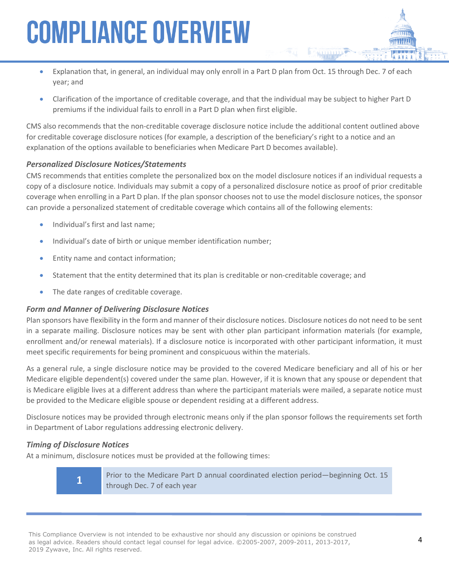- Explanation that, in general, an individual may only enroll in a Part D plan from Oct. 15 through Dec. 7 of each year; and
- Clarification of the importance of creditable coverage, and that the individual may be subject to higher Part D premiums if the individual fails to enroll in a Part D plan when first eligible.

CMS also recommends that the non-creditable coverage disclosure notice include the additional content outlined above for creditable coverage disclosure notices (for example, a description of the beneficiary's right to a notice and an explanation of the options available to beneficiaries when Medicare Part D becomes available).

#### *Personalized Disclosure Notices/Statements*

CMS recommends that entities complete the personalized box on the model disclosure notices if an individual requests a copy of a disclosure notice. Individuals may submit a copy of a personalized disclosure notice as proof of prior creditable coverage when enrolling in a Part D plan. If the plan sponsor chooses not to use the model disclosure notices, the sponsor can provide a personalized statement of creditable coverage which contains all of the following elements:

- Individual's first and last name;
- Individual's date of birth or unique member identification number;
- Entity name and contact information;
- Statement that the entity determined that its plan is creditable or non-creditable coverage; and
- The date ranges of creditable coverage.

#### *Form and Manner of Delivering Disclosure Notices*

Plan sponsors have flexibility in the form and manner of their disclosure notices. Disclosure notices do not need to be sent in a separate mailing. Disclosure notices may be sent with other plan participant information materials (for example, enrollment and/or renewal materials). If a disclosure notice is incorporated with other participant information, it must meet specific requirements for being prominent and conspicuous within the materials.

As a general rule, a single disclosure notice may be provided to the covered Medicare beneficiary and all of his or her Medicare eligible dependent(s) covered under the same plan. However, if it is known that any spouse or dependent that is Medicare eligible lives at a different address than where the participant materials were mailed, a separate notice must be provided to the Medicare eligible spouse or dependent residing at a different address.

Disclosure notices may be provided through electronic means only if the plan sponsor follows the requirements set forth in Department of Labor regulations addressing electronic delivery.

#### *Timing of Disclosure Notices*

**1**

At a minimum, disclosure notices must be provided at the following times:

Prior to the Medicare Part D annual coordinated election period—beginning Oct. 15 through Dec. 7 of each year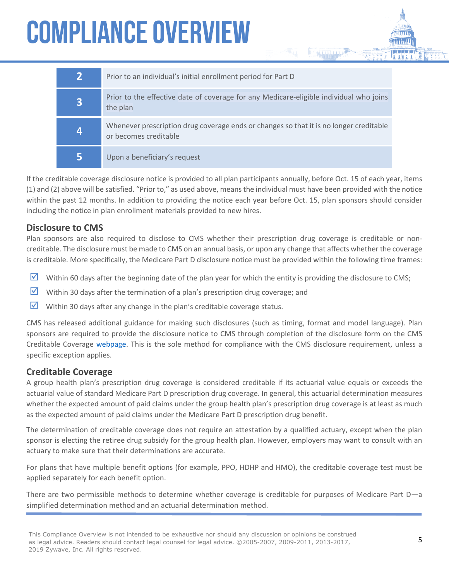| $\overline{2}$ | Prior to an individual's initial enrollment period for Part D                                                   |
|----------------|-----------------------------------------------------------------------------------------------------------------|
| 3              | Prior to the effective date of coverage for any Medicare-eligible individual who joins<br>the plan              |
| 4              | Whenever prescription drug coverage ends or changes so that it is no longer creditable<br>or becomes creditable |
| 5              | Upon a beneficiary's request                                                                                    |

If the creditable coverage disclosure notice is provided to all plan participants annually, before Oct. 15 of each year, items (1) and (2) above will be satisfied. "Prior to," as used above, means the individual must have been provided with the notice within the past 12 months. In addition to providing the notice each year before Oct. 15, plan sponsors should consider including the notice in plan enrollment materials provided to new hires.

#### **Disclosure to CMS**

Plan sponsors are also required to disclose to CMS whether their prescription drug coverage is creditable or noncreditable. The disclosure must be made to CMS on an annual basis, or upon any change that affects whether the coverage is creditable. More specifically, the Medicare Part D disclosure notice must be provided within the following time frames:

- Within 60 days after the beginning date of the plan year for which the entity is providing the disclosure to CMS;
- $\triangledown$  Within 30 days after the termination of a plan's prescription drug coverage; and
- $\triangledown$  Within 30 days after any change in the plan's creditable coverage status.

CMS has released additional guidance for making such disclosures (such as timing, format and model language). Plan sponsors are required to provide the disclosure notice to CMS through completion of the disclosure form on the CMS Creditable Coverage [webpage](http://www.cms.gov/Medicare/Prescription-Drug-Coverage/CreditableCoverage/index.html?redirect=/CreditableCoverage/40_CCDisclosure.asp). This is the sole method for compliance with the CMS disclosure requirement, unless a specific exception applies.

#### **Creditable Coverage**

A group health plan's prescription drug coverage is considered creditable if its actuarial value equals or exceeds the actuarial value of standard Medicare Part D prescription drug coverage. In general, this actuarial determination measures whether the expected amount of paid claims under the group health plan's prescription drug coverage is at least as much as the expected amount of paid claims under the Medicare Part D prescription drug benefit.

The determination of creditable coverage does not require an attestation by a qualified actuary, except when the plan sponsor is electing the retiree drug subsidy for the group health plan. However, employers may want to consult with an actuary to make sure that their determinations are accurate.

For plans that have multiple benefit options (for example, PPO, HDHP and HMO), the creditable coverage test must be applied separately for each benefit option.

There are two permissible methods to determine whether coverage is creditable for purposes of Medicare Part D—a simplified determination method and an actuarial determination method.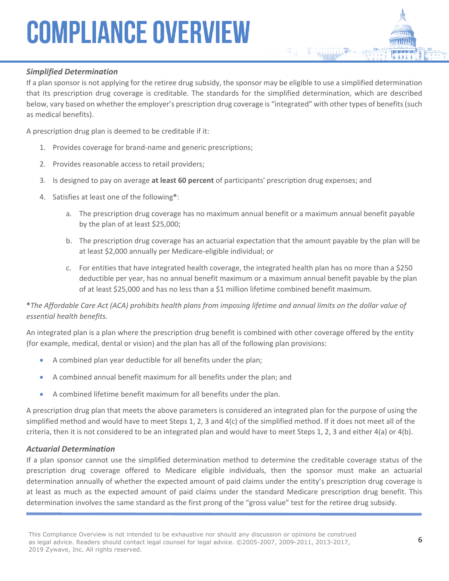#### *Simplified Determination*

If a plan sponsor is not applying for the retiree drug subsidy, the sponsor may be eligible to use a simplified determination that its prescription drug coverage is creditable. The standards for the simplified determination, which are described below, vary based on whether the employer's prescription drug coverage is "integrated" with other types of benefits (such as medical benefits).

A prescription drug plan is deemed to be creditable if it:

- 1. Provides coverage for brand-name and generic prescriptions;
- 2. Provides reasonable access to retail providers;
- 3. Is designed to pay on average **at least 60 percent** of participants' prescription drug expenses; and
- 4. Satisfies at least one of the following**\***:
	- a. The prescription drug coverage has no maximum annual benefit or a maximum annual benefit payable by the plan of at least \$25,000;
	- b. The prescription drug coverage has an actuarial expectation that the amount payable by the plan will be at least \$2,000 annually per Medicare-eligible individual; or
	- c. For entities that have integrated health coverage, the integrated health plan has no more than a \$250 deductible per year, has no annual benefit maximum or a maximum annual benefit payable by the plan of at least \$25,000 and has no less than a \$1 million lifetime combined benefit maximum.

#### **\****The Affordable Care Act (ACA) prohibits health plans from imposing lifetime and annual limits on the dollar value of essential health benefits.*

An integrated plan is a plan where the prescription drug benefit is combined with other coverage offered by the entity (for example, medical, dental or vision) and the plan has all of the following plan provisions:

- A combined plan year deductible for all benefits under the plan;
- A combined annual benefit maximum for all benefits under the plan; and
- A combined lifetime benefit maximum for all benefits under the plan.

A prescription drug plan that meets the above parameters is considered an integrated plan for the purpose of using the simplified method and would have to meet Steps 1, 2, 3 and 4(c) of the simplified method. If it does not meet all of the criteria, then it is not considered to be an integrated plan and would have to meet Steps 1, 2, 3 and either  $4(a)$  or  $4(b)$ .

#### *Actuarial Determination*

If a plan sponsor cannot use the simplified determination method to determine the creditable coverage status of the prescription drug coverage offered to Medicare eligible individuals, then the sponsor must make an actuarial determination annually of whether the expected amount of paid claims under the entity's prescription drug coverage is at least as much as the expected amount of paid claims under the standard Medicare prescription drug benefit. This determination involves the same standard as the first prong of the "gross value" test for the retiree drug subsidy.